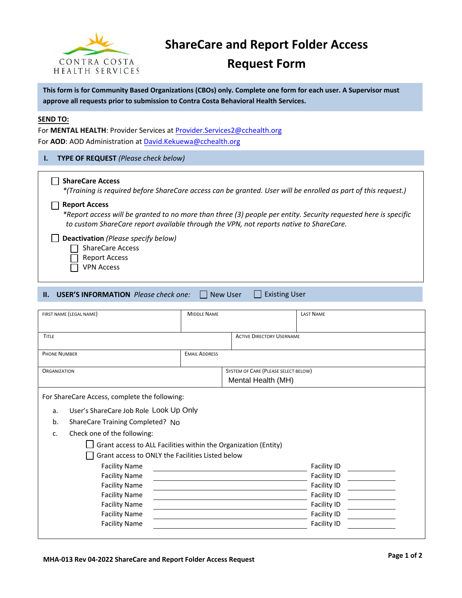

# **ShareCare and Report Folder Access**

# **Request Form**

**This form is for Community Based Organizations (CBOs) only. Complete one form for each user. A Supervisor must approve all requests prior to submission to Contra Costa Behavioral Health Services.**

#### **SEND TO:**

For **MENTAL HEALTH**: Provider Services a[t Provider.Services2@cchealth.org](mailto:Provider.Services2@cchealth.org) For **AOD**: AOD Administration at [David.Kekuewa@cchealth.org](mailto:David.Kekuewa@cchealth.org)

#### **I. TYPE OF REQUEST** *(Please check below)*

#### **ShareCare Access**

*\*(Training is required before ShareCare access can be granted. User will be enrolled as part of this request.)*

#### **Report Access**

*\*Report access will be granted to no more than three (3) people per entity. Security requested here is specific to custom ShareCare report available through the VPN, not reports native to ShareCare.*

**Deactivation** *(Please specify below)*

 $\Box$  ShareCare Access

- $\Box$ Report Access
- VPN Access

| <b>II. USER'S INFORMATION</b> Please check one: |  | New User | ∐ Existing User |
|-------------------------------------------------|--|----------|-----------------|
|-------------------------------------------------|--|----------|-----------------|

| FIRST NAME (LEGAL NAME)                                         | <b>MIDDLE NAME</b>   |                                      | <b>LAST NAME</b>   |  |  |
|-----------------------------------------------------------------|----------------------|--------------------------------------|--------------------|--|--|
| <b>TITLE</b>                                                    |                      | <b>ACTIVE DIRECTORY USERNAME</b>     |                    |  |  |
| <b>PHONE NUMBER</b>                                             | <b>EMAIL ADDRESS</b> |                                      |                    |  |  |
| <b>ORGANIZATION</b>                                             |                      | SYSTEM OF CARE (PLEASE SELECT BELOW) |                    |  |  |
|                                                                 |                      | Mental Health (MH)                   |                    |  |  |
| For ShareCare Access, complete the following:                   |                      |                                      |                    |  |  |
| User's ShareCare Job Role Look Up Only<br>a.                    |                      |                                      |                    |  |  |
| b.<br>ShareCare Training Completed? No                          |                      |                                      |                    |  |  |
| Check one of the following:<br>$C_{r}$                          |                      |                                      |                    |  |  |
| Grant access to ALL Facilities within the Organization (Entity) |                      |                                      |                    |  |  |
| Grant access to ONLY the Facilities Listed below                |                      |                                      |                    |  |  |
| <b>Facility Name</b>                                            |                      |                                      | Facility ID        |  |  |
| <b>Facility Name</b>                                            |                      |                                      | Facility ID        |  |  |
| <b>Facility Name</b>                                            |                      |                                      | Facility ID        |  |  |
| <b>Facility Name</b>                                            |                      |                                      | Facility ID        |  |  |
| <b>Facility Name</b>                                            |                      |                                      | Facility ID        |  |  |
| <b>Facility Name</b>                                            |                      |                                      | Facility ID        |  |  |
| <b>Facility Name</b>                                            |                      |                                      | <b>Facility ID</b> |  |  |